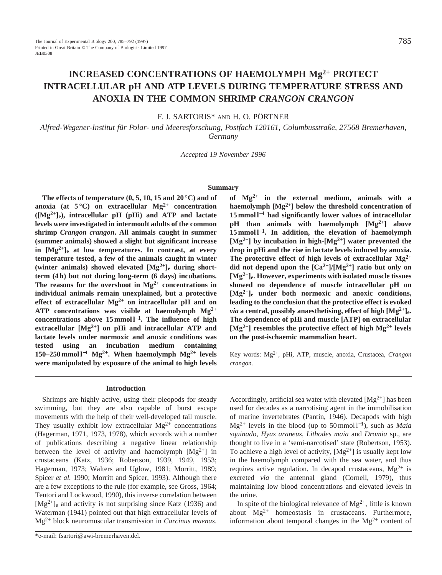# **INCREASED CONCENTRATIONS OF HAEMOLYMPH Mg2+ PROTECT INTRACELLULAR pH AND ATP LEVELS DURING TEMPERATURE STRESS AND ANOXIA IN THE COMMON SHRIMP** *CRANGON CRANGON*

# F. J. SARTORIS\* AND H. O. PÖRTNER

*Alfred-Wegener-Institut für Polar- und Meeresforschung, Postfach 120161, Columbusstraße, 27568 Bremerhaven, Germany*

*Accepted 19 November 1996*

### **Summary**

**The effects of temperature (0, 5, 10, 15 and 20 °C) and of anoxia (at 5 °C) on extracellular Mg2+ concentration ([Mg2+]e), intracellular pH (pHi) and ATP and lactate levels were investigated in intermoult adults of the common shrimp** *Crangon crangon***. All animals caught in summer (summer animals) showed a slight but significant increase in [Mg2+]e at low temperatures. In contrast, at every temperature tested, a few of the animals caught in winter (winter animals) showed elevated [Mg2+]e during shortterm (4 h) but not during long-term (6 days) incubations.** The reasons for the overshoot in  $Mg^{2+}$  concentrations in **individual animals remain unexplained, but a protective effect of extracellular Mg2+ on intracellular pH and on ATP concentrations was visible at haemolymph Mg2+ concentrations above 15 mmol l**<sup>−</sup>**1. The influence of high extracellular [Mg2+] on pHi and intracellular ATP and lactate levels under normoxic and anoxic conditions was tested using an incubation medium containing 150–250 mmol l**−**<sup>1</sup> Mg2+. When haemolymph Mg2+ levels were manipulated by exposure of the animal to high levels**

### **Introduction**

Shrimps are highly active, using their pleopods for steady swimming, but they are also capable of burst escape movements with the help of their well-developed tail muscle. They usually exhibit low extracellular  $Mg^{2+}$  concentrations (Hagerman, 1971, 1973, 1978), which accords with a number of publications describing a negative linear relationship between the level of activity and haemolymph  $[Mg^{2+}]$  in crustaceans (Katz, 1936; Robertson, 1939, 1949, 1953; Hagerman, 1973; Walters and Uglow, 1981; Morritt, 1989; Spicer *et al.* 1990; Morritt and Spicer, 1993). Although there are a few exceptions to the rule (for example, see Gross, 1964; Tentori and Lockwood, 1990), this inverse correlation between  $[Mg^{2+}]_e$  and activity is not surprising since Katz (1936) and Waterman (1941) pointed out that high extracellular levels of Mg2+ block neuromuscular transmission in *Carcinus maenas*.

**of Mg2+ in the external medium, animals with a haemolymph [Mg2+] below the threshold concentration of 15 mmol l**−**<sup>1</sup> had significantly lower values of intracellular pH than animals with haemolymph [Mg2+] above 15 mmol l**<sup>−</sup>**1. In addition, the elevation of haemolymph [Mg2+] by incubation in high-[Mg2+] water prevented the drop in pHi and the rise in lactate levels induced by anoxia. The protective effect of high levels of extracellular Mg2+** did not depend upon the  $[Ca^{2+}]/[Mg^{2+}]$  ratio but only on **[Mg2+]e. However, experiments with isolated muscle tissues showed no dependence of muscle intracellular pH on [Mg2+]e under both normoxic and anoxic conditions, leading to the conclusion that the protective effect is evoked** *via* a central, possibly anaesthetising, effect of high  $[Mg^{2+}]_e$ . **The dependence of pHi and muscle [ATP] on extracellular [Mg2+] resembles the protective effect of high Mg2+ levels on the post-ischaemic mammalian heart.**

Key words: Mg2+, pHi, ATP, muscle, anoxia, Crustacea, *Crangon crangon.*

Accordingly, artificial sea water with elevated  $[Mg^{2+}]$  has been used for decades as a narcotising agent in the immobilisation of marine invertebrates (Pantin, 1946). Decapods with high Mg2+ levels in the blood (up to 50 mmol l<sup>−</sup>1), such as *Maia squinado*, *Hyas araneus*, *Lithodes maia* and *Dromia* sp., are thought to live in a 'semi-narcotised' state (Robertson, 1953). To achieve a high level of activity,  $[Mg^{2+}]$  is usually kept low in the haemolymph compared with the sea water, and thus requires active regulation. In decapod crustaceans,  $Mg^{2+}$  is excreted *via* the antennal gland (Cornell, 1979), thus maintaining low blood concentrations and elevated levels in the urine.

In spite of the biological relevance of  $Mg^{2+}$ , little is known about  $Mg^{2+}$  homeostasis in crustaceans. Furthermore, information about temporal changes in the  $Mg^{2+}$  content of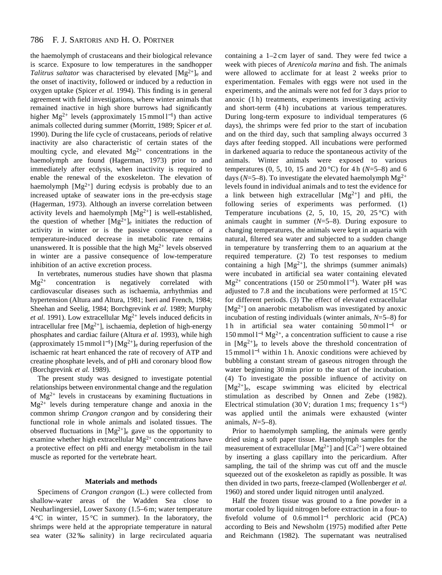the haemolymph of crustaceans and their biological relevance is scarce. Exposure to low temperatures in the sandhopper *Talitrus saltator* was characterised by elevated  $[Mg^{2+}]_e$  and the onset of inactivity, followed or induced by a reduction in oxygen uptake (Spicer *et al.* 1994). This finding is in general agreement with field investigations, where winter animals that remained inactive in high shore burrows had significantly higher Mg<sup>2+</sup> levels (approximately 15 mmol  $l^{-1}$ ) than active animals collected during summer (Morritt, 1989; Spicer *et al.* 1990). During the life cycle of crustaceans, periods of relative inactivity are also characteristic of certain states of the moulting cycle, and elevated  $Mg^{2+}$  concentrations in the haemolymph are found (Hagerman, 1973) prior to and immediately after ecdysis, when inactivity is required to enable the renewal of the exoskeleton. The elevation of haemolymph  $[Mg^{2+}]$  during ecdysis is probably due to an increased uptake of seawater ions in the pre-ecdysis stage (Hagerman, 1973). Although an inverse correlation between activity levels and haemolymph  $[Mg^{2+}]$  is well-established, the question of whether  $[Mg^{2+}]_e$  initiates the reduction of activity in winter or is the passive consequence of a temperature-induced decrease in metabolic rate remains unanswered. It is possible that the high  $Mg^{2+}$  levels observed in winter are a passive consequence of low-temperature inhibition of an active excretion process.

In vertebrates, numerous studies have shown that plasma  $Mg^{2+}$  concentration is negatively correlated with cardiovascular diseases such as ischaemia, arrhythmias and hypertension (Altura and Altura, 1981; Iseri and French, 1984; Sheehan and Seelig, 1984; Borchgrevink *et al.* 1989; Murphy *et al.* 1991). Low extracellular  $Mg^{2+}$  levels induced deficits in intracellular free  $[Mg^{2+}]$ , ischaemia, depletion of high-energy phosphates and cardiac failure (Altura *et al.* 1993), while high (approximately 15 mmol  $l^{-1}$ ) [Mg<sup>2+</sup>]<sub>e</sub> during reperfusion of the ischaemic rat heart enhanced the rate of recovery of ATP and creatine phosphate levels, and of pHi and coronary blood flow (Borchgrevink *et al.* 1989).

The present study was designed to investigate potential relationships between environmental change and the regulation of  $Mg^{2+}$  levels in crustaceans by examining fluctuations in  $Mg^{2+}$  levels during temperature change and anoxia in the common shrimp *Crangon crangon* and by considering their functional role in whole animals and isolated tissues. The observed fluctuations in  $[Mg^{2+}]_e$  gave us the opportunity to examine whether high extracellular  $Mg^{2+}$  concentrations have a protective effect on pHi and energy metabolism in the tail muscle as reported for the vertebrate heart.

# **Materials and methods**

Specimens of *Crangon crangon* (L.) were collected from shallow-water areas of the Wadden Sea close to Neuharlingersiel, Lower Saxony (1.5–6 m; water temperature  $4^{\circ}$ C in winter,  $15^{\circ}$ C in summer). In the laboratory, the shrimps were held at the appropriate temperature in natural sea water (32 ‰ salinity) in large recirculated aquaria containing a 1–2 cm layer of sand. They were fed twice a week with pieces of *Arenicola marina* and fish. The animals were allowed to acclimate for at least 2 weeks prior to experimentation. Females with eggs were not used in the experiments, and the animals were not fed for 3 days prior to anoxic (1 h) treatments, experiments investigating activity and short-term (4 h) incubations at various temperatures. During long-term exposure to individual temperatures (6 days), the shrimps were fed prior to the start of incubation and on the third day, such that sampling always occurred 3 days after feeding stopped. All incubations were performed in darkened aquaria to reduce the spontaneous activity of the animals. Winter animals were exposed to various temperatures (0, 5, 10, 15 and 20 °C) for 4 h (*N*=5–8) and 6 days ( $N=5-8$ ). To investigate the elevated haemolymph  $Mg^{2+}$ levels found in individual animals and to test the evidence for a link between high extracellular  $[Mg^{2+}]$  and pHi, the following series of experiments was performed. (1) Temperature incubations  $(2, 5, 10, 15, 20, 25 \degree C)$  with animals caught in summer (*N*=5–8). During exposure to changing temperatures, the animals were kept in aquaria with natural, filtered sea water and subjected to a sudden change in temperature by transferring them to an aquarium at the required temperature. (2) To test responses to medium containing a high  $[Mg^{2+}]$ , the shrimps (summer animals) were incubated in artificial sea water containing elevated  $Mg^{2+}$  concentrations (150 or 250 mmol  $l^{-1}$ ). Water pH was adjusted to 7.8 and the incubations were performed at 15 °C for different periods. (3) The effect of elevated extracellular  $[Mg^{2+}]$  on anaerobic metabolism was investigated by anoxic incubation of resting individuals (winter animals, *N*=5–8) for 1h in artificial sea water containing 50 mmol l<sup>-1</sup> or  $150$  mmol l<sup>-1</sup> Mg<sup>2+</sup>, a concentration sufficient to cause a rise in  $[Mg^{2+}]_e$  to levels above the threshold concentration of 15 mmol l<sup>-1</sup> within 1 h. Anoxic conditions were achieved by bubbling a constant stream of gaseous nitrogen through the water beginning 30 min prior to the start of the incubation. (4) To investigate the possible influence of activity on  $[Mg^{2+}]e$ , escape swimming was elicited by electrical stimulation as described by Onnen and Zebe (1982). Electrical stimulation (30 V; duration 1 ms; frequency  $1 s^{-1}$ ) was applied until the animals were exhausted (winter animals, *N*=5–8).

Prior to haemolymph sampling, the animals were gently dried using a soft paper tissue. Haemolymph samples for the measurement of extracellular  $[Mg^{2+}]$  and  $[Ca^{2+}]$  were obtained by inserting a glass capillary into the pericardium. After sampling, the tail of the shrimp was cut off and the muscle squeezed out of the exoskeleton as rapidly as possible. It was then divided in two parts, freeze-clamped (Wollenberger *et al.* 1960) and stored under liquid nitrogen until analyzed.

Half the frozen tissue was ground to a fine powder in a mortar cooled by liquid nitrogen before extraction in a four- to fivefold volume of  $0.6 \text{ mmol } 1^{-1}$  perchloric acid (PCA) according to Beis and Newsholm (1975) modified after Pette and Reichmann (1982). The supernatant was neutralised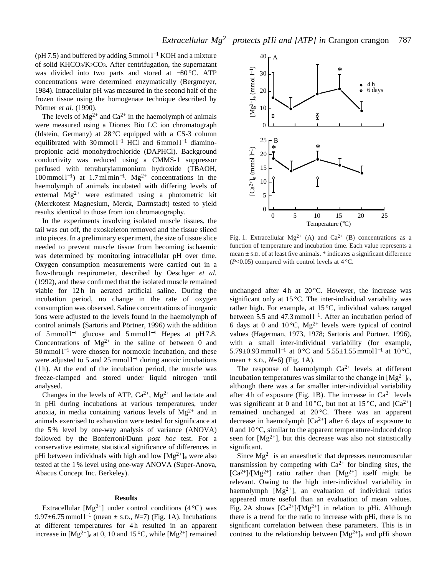(pH 7.5) and buffered by adding 5 mmol  $l^{-1}$  KOH and a mixture of solid KHCO3/K2CO3. After centrifugation, the supernatant was divided into two parts and stored at −80 °C. ATP concentrations were determined enzymatically (Bergmeyer, 1984). Intracellular pH was measured in the second half of the frozen tissue using the homogenate technique described by Pörtner *et al.* (1990).

The levels of  $Mg^{2+}$  and  $Ca^{2+}$  in the haemolymph of animals were measured using a Dionex Bio LC ion chromatograph (Idstein, Germany) at 28 °C equipped with a CS-3 column equilibrated with  $30 \text{ mmol } 1^{-1}$  HCl and  $6 \text{ mmol } 1^{-1}$  diaminopropionic acid monohydrochloride (DAPHCl). Background conductivity was reduced using a CMMS-1 suppressor perfused with tetrabutylammonium hydroxide (TBAOH, 100 mmol l<sup>-1</sup>) at 1.7 ml min<sup>-1</sup>. Mg<sup>2+</sup> concentrations in the haemolymph of animals incubated with differing levels of external Mg2+ were estimated using a photometric kit (Merckotest Magnesium, Merck, Darmstadt) tested to yield results identical to those from ion chromatography.

In the experiments involving isolated muscle tissues, the tail was cut off, the exoskeleton removed and the tissue sliced into pieces. In a preliminary experiment, the size of tissue slice needed to prevent muscle tissue from becoming ischaemic was determined by monitoring intracellular pH over time. Oxygen consumption measurements were carried out in a flow-through respirometer, described by Oeschger *et al.* (1992), and these confirmed that the isolated muscle remained viable for 12h in aerated artificial saline. During the incubation period, no change in the rate of oxygen consumption was observed. Saline concentrations of inorganic ions were adjusted to the levels found in the haemolymph of control animals (Sartoris and Pörtner, 1996) with the addition of  $5 \text{ mmol } 1^{-1}$  glucose and  $5 \text{ mmol } 1^{-1}$  Hepes at pH7.8. Concentrations of  $Mg^{2+}$  in the saline of between 0 and  $50$  mmol  $l<sup>-1</sup>$  were chosen for normoxic incubation, and these were adjusted to 5 and 25 mmol  $l^{-1}$  during anoxic incubations (1 h). At the end of the incubation period, the muscle was freeze-clamped and stored under liquid nitrogen until analysed.

Changes in the levels of ATP,  $Ca^{2+}$ ,  $Mg^{2+}$  and lactate and in pHi during incubations at various temperatures, under anoxia, in media containing various levels of  $Mg^{2+}$  and in animals exercised to exhaustion were tested for significance at the 5 % level by one-way analysis of variance (ANOVA) followed by the Bonferroni/Dunn *post hoc* test. For a conservative estimate, statistical significance of differences in pHi between individuals with high and low  $[Mg^{2+}]_e$  were also tested at the 1 % level using one-way ANOVA (Super-Anova, Abacus Concept Inc. Berkeley).

# **Results**

Extracellular  $[Mg^{2+}]$  under control conditions (4 °C) was 9.97 $\pm$ 6.75 mmol l<sup>-1</sup> (mean  $\pm$  s.D., *N*=7) (Fig. 1A). Incubations at different temperatures for 4 h resulted in an apparent increase in  $[Mg^{2+}]_e$  at 0, 10 and 15 °C, while  $[Mg^{2+}]$  remained



Fig. 1. Extracellular  $Mg^{2+}$  (A) and  $Ca^{2+}$  (B) concentrations as a function of temperature and incubation time. Each value represents a mean  $\pm$  s.D. of at least five animals.  $*$  indicates a significant difference  $(P<0.05)$  compared with control levels at  $4^{\circ}$ C.

unchanged after 4h at  $20^{\circ}$ C. However, the increase was significant only at 15 °C. The inter-individual variability was rather high. For example, at 15 °C, individual values ranged between 5.5 and 47.3 mmol  $l^{-1}$ . After an incubation period of 6 days at 0 and 10 °C,  $Mg^{2+}$  levels were typical of control values (Hagerman, 1973, 1978; Sartoris and Pörtner, 1996), with a small inter-individual variability (for example, 5.79±0.93 mmol  $l^{-1}$  at 0 °C and 5.55±1.55 mmol  $l^{-1}$  at 10 °C, mean  $\pm$  s.p.,  $N=6$ ) (Fig. 1A).

The response of haemolymph  $Ca^{2+}$  levels at different incubation temperatures was similar to the change in  $[Mg^{2+}]_e$ , although there was a far smaller inter-individual variability after 4 h of exposure (Fig. 1B). The increase in  $Ca^{2+}$  levels was significant at 0 and 10 °C, but not at 15 °C, and  $[Ca^{2+}]$ remained unchanged at 20 °C. There was an apparent decrease in haemolymph  $[Ca^{2+}]$  after 6 days of exposure to 0 and 10 °C, similar to the apparent temperature-induced drop seen for  $[Mg^{2+}]$ , but this decrease was also not statistically significant.

Since  $Mg^{2+}$  is an anaesthetic that depresses neuromuscular transmission by competing with  $Ca^{2+}$  for binding sites, the  $[Ca^{2+}]/[Mg^{2+}]$  ratio rather than  $[Mg^{2+}]$  itself might be relevant. Owing to the high inter-individual variability in haemolymph  $[Mg^{2+}]$ , an evaluation of individual ratios appeared more useful than an evaluation of mean values. Fig. 2A shows  $\left[\text{Ca}^{2+}\right]/\left[\text{Mg}^{2+}\right]$  in relation to pHi. Although there is a trend for the ratio to increase with pHi, there is no significant correlation between these parameters. This is in contrast to the relationship between  $[Mg^{2+}]_e$  and pHi shown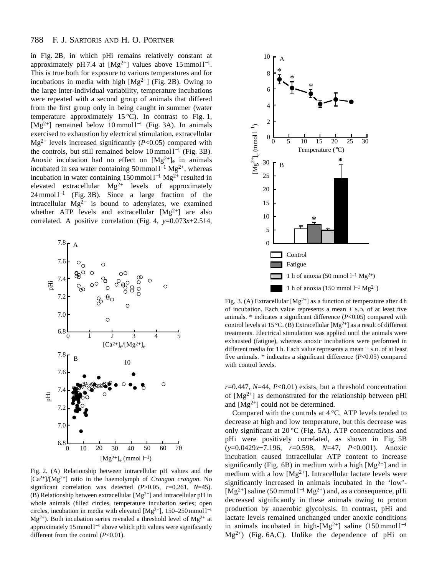#### 788 F. J. SARTORIS AND H. O. PÖRTNER

in Fig. 2B, in which pHi remains relatively constant at approximately pH 7.4 at  $[Mg^{2+}]$  values above 15 mmol  $l^{-1}$ . This is true both for exposure to various temperatures and for incubations in media with high  $[Mg^{2+}]$  (Fig. 2B). Owing to the large inter-individual variability, temperature incubations were repeated with a second group of animals that differed from the first group only in being caught in summer (water temperature approximately 15 °C). In contrast to Fig. 1, [Mg<sup>2+</sup>] remained below 10 mmol  $l^{-1}$  (Fig. 3A). In animals exercised to exhaustion by electrical stimulation, extracellular  $Mg^{2+}$  levels increased significantly ( $P<0.05$ ) compared with the controls, but still remained below  $10 \text{ mmol } l^{-1}$  (Fig. 3B). Anoxic incubation had no effect on  $[Mg^{2+}]_e$  in animals incubated in sea water containing 50 mmol  $l^{-1}$  Mg<sup>2+</sup>, whereas incubation in water containing 150 mmol  $l^{-1}$  Mg<sup>2+</sup> resulted in elevated extracellular  $Mg^{2+}$  levels of approximately  $24 \text{ mmol } 1^{-1}$  (Fig. 3B). Since a large fraction of the intracellular  $Mg^{2+}$  is bound to adenylates, we examined whether ATP levels and extracellular  $[Mg^{2+}]$  are also correlated. A positive correlation (Fig. 4,  $y=0.073x+2.514$ ,



Fig. 2. (A) Relationship between intracellular pH values and the  $[Ca^{2+}]/[Mg^{2+}]$  ratio in the haemolymph of *Crangon crangon*. No significant correlation was detected  $(P>0.05, r=0.261, N=45)$ . (B) Relationship between extracellular  $[Mg^{2+}]$  and intracellular pH in whole animals (filled circles, temperature incubation series; open circles, incubation in media with elevated [Mg<sup>2+</sup>], 150–250 mmol  $l<sup>-1</sup>$  $Mg^{2+}$ ). Both incubation series revealed a threshold level of  $Mg^{2+}$  at approximately 15 mmol  $l^{-1}$  above which pHi values were significantly different from the control (*P*<0.01).



Fig. 3. (A) Extracellular  $[Mg^{2+}]$  as a function of temperature after 4 h of incubation. Each value represents a mean  $\pm$  s.D. of at least five animals. \* indicates a significant difference (*P*<0.05) compared with control levels at 15 °C. (B) Extracellular  $[Mg^{2+}]$  as a result of different treatments. Electrical stimulation was applied until the animals were exhausted (fatigue), whereas anoxic incubations were performed in different media for 1 h. Each value represents a mean + S.D. of at least five animals. \* indicates a significant difference (*P*<0.05) compared with control levels.

*r*=0.447, *N*=44, *P*<0.01) exists, but a threshold concentration of  $[Mg^{2+}]$  as demonstrated for the relationship between pHi and  $[Mg^{2+}]$  could not be determined.

Compared with the controls at 4 °C, ATP levels tended to decrease at high and low temperature, but this decrease was only significant at 20 °C (Fig. 5A). ATP concentrations and pHi were positively correlated, as shown in Fig. 5B (*y*=0.0429*x*+7.196, *r*=0.598, *N*=47, *P*<0.001). Anoxic incubation caused intracellular ATP content to increase significantly (Fig. 6B) in medium with a high  $[Mg^{2+}]$  and in medium with a low  $[Mg^{2+}]$ . Intracellular lactate levels were significantly increased in animals incubated in the 'low'- [Mg<sup>2+</sup>] saline (50 mmol  $1^{-1}$  Mg<sup>2+</sup>) and, as a consequence, pHi decreased significantly in these animals owing to proton production by anaerobic glycolysis. In contrast, pHi and lactate levels remained unchanged under anoxic conditions in animals incubated in high- $[Mg^{2+}]$  saline (150 mmol  $l^{-1}$ )  $Mg^{2+}$ ) (Fig. 6A,C). Unlike the dependence of pHi on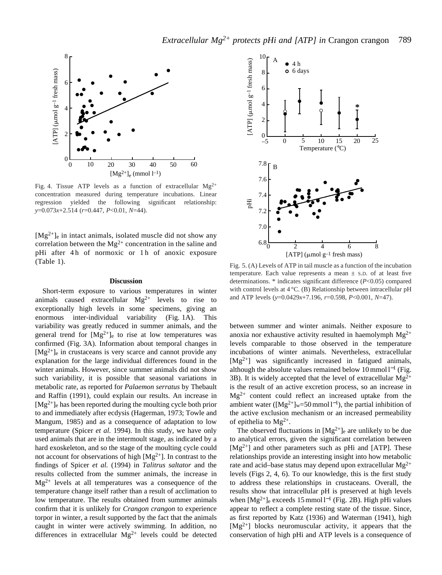

Fig. 4. Tissue ATP levels as a function of extracellular  $Mg^{2+}$ concentration measured during temperature incubations. Linear regression yielded the following significant relationship: *y*=0.073*x*+2.514 (*r*=0.447, *P*<0.01, *N*=44).

 $[Mg^{2+}]_e$  in intact animals, isolated muscle did not show any correlation between the  $Mg^{2+}$  concentration in the saline and pHi after 4 h of normoxic or 1 h of anoxic exposure (Table 1).

### **Discussion**

Short-term exposure to various temperatures in winter animals caused extracellular  $Mg^{2+}$  levels to rise to exceptionally high levels in some specimens, giving an enormous inter-individual variability (Fig. 1A). This variability was greatly reduced in summer animals, and the general trend for  $[Mg^{2+}]_e$  to rise at low temperatures was confirmed (Fig. 3A). Information about temporal changes in  $[Mg^{2+}]_e$  in crustaceans is very scarce and cannot provide any explanation for the large individual differences found in the winter animals. However, since summer animals did not show such variability, it is possible that seasonal variations in metabolic rate, as reported for *Palaemon serratus* by Thebault and Raffin (1991), could explain our results. An increase in  $[Mg^{2+}]_e$  has been reported during the moulting cycle both prior to and immediately after ecdysis (Hagerman, 1973; Towle and Mangum, 1985) and as a consequence of adaptation to low temperature (Spicer *et al.* 1994). In this study, we have only used animals that are in the intermoult stage, as indicated by a hard exoskeleton, and so the stage of the moulting cycle could not account for observations of high  $[Mg^{2+}]$ . In contrast to the findings of Spicer *et al.* (1994) in *Talitrus saltator* and the results collected from the summer animals, the increase in  $Mg^{2+}$  levels at all temperatures was a consequence of the temperature change itself rather than a result of acclimation to low temperature. The results obtained from summer animals confirm that it is unlikely for *Crangon crangon* to experience torpor in winter, a result supported by the fact that the animals caught in winter were actively swimming. In addition, no differences in extracellular  $Mg^{2+}$  levels could be detected



Fig. 5. (A) Levels of ATP in tail muscle as a function of the incubation temperature. Each value represents a mean  $\pm$  s.D. of at least five determinations. \* indicates significant difference (*P*<0.05) compared with control levels at  $4^{\circ}$ C. (B) Relationship between intracellular pH and ATP levels (*y*=0.0429*x*+7.196, *r*=0.598, *P*<0.001, *N*=47).

between summer and winter animals. Neither exposure to anoxia nor exhaustive activity resulted in haemolymph  $Mg^{2+}$ levels comparable to those observed in the temperature incubations of winter animals. Nevertheless, extracellular  $[Mg^{2+}]$  was significantly increased in fatigued animals, although the absolute values remained below  $10 \text{ mmol } l^{-1}$  (Fig. 3B). It is widely accepted that the level of extracellular  $Mg^{2+}$ is the result of an active excretion process, so an increase in  $Mg^{2+}$  content could reflect an increased uptake from the ambient water ( $[Mg^{2+}]_{w}$ =50 mmol l<sup>-1</sup>), the partial inhibition of the active exclusion mechanism or an increased permeability of epithelia to  $Mg^{2+}$ .

The observed fluctuations in  $[Mg^{2+}]_e$  are unlikely to be due to analytical errors, given the significant correlation between  $[Mg^{2+}]$  and other parameters such as pHi and [ATP]. These relationships provide an interesting insight into how metabolic rate and acid–base status may depend upon extracellular  $Mg^{2+}$ levels (Figs 2, 4, 6). To our knowledge, this is the first study to address these relationships in crustaceans. Overall, the results show that intracellular pH is preserved at high levels when  $[Mg^{2+}]_e$  exceeds 15 mmol  $l^{-1}$  (Fig. 2B). High pHi values appear to reflect a complete resting state of the tissue. Since, as first reported by Katz (1936) and Waterman (1941), high  $[Mg^{2+}]$  blocks neuromuscular activity, it appears that the conservation of high pHi and ATP levels is a consequence of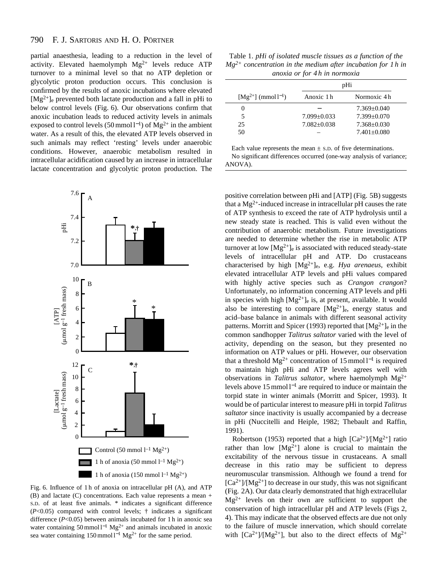#### 790 F. J. SARTORIS AND H. O. PÖRTNER

partial anaesthesia, leading to a reduction in the level of activity. Elevated haemolymph  $Mg^{2+}$  levels reduce ATP turnover to a minimal level so that no ATP depletion or glycolytic proton production occurs. This conclusion is confirmed by the results of anoxic incubations where elevated  $[Mg^{2+}]_e$  prevented both lactate production and a fall in pHi to below control levels (Fig. 6). Our observations confirm that anoxic incubation leads to reduced activity levels in animals exposed to control levels (50 mmol  $l^{-1}$ ) of Mg<sup>2+</sup> in the ambient water. As a result of this, the elevated ATP levels observed in such animals may reflect 'resting' levels under anaerobic conditions. However, anaerobic metabolism resulted in intracellular acidification caused by an increase in intracellular lactate concentration and glycolytic proton production. The



Fig. 6. Influence of 1 h of anoxia on intracellular pH (A), and ATP (B) and lactate (C) concentrations. Each value represents a mean + S.D. of at least five animals. \* indicates a significant difference  $(P<0.05)$  compared with control levels;  $\dagger$  indicates a significant difference (*P*<0.05) between animals incubated for 1 h in anoxic sea water containing  $50 \text{ mmol} 1^{-1} \text{ Mg}^{2+}$  and animals incubated in anoxic sea water containing 150 mmol  $l^{-1}$  Mg<sup>2+</sup> for the same period.

Table 1. *pHi of isolated muscle tissues as a function of the Mg2+ concentration in the medium after incubation for 1 h in anoxia or for 4 h in normoxia*

|                           | pHi             |                 |  |
|---------------------------|-----------------|-----------------|--|
| $[Mg^{2+}] \pmod{l^{-1}}$ | Anoxic 1 h      | Normoxic 4 h    |  |
| $\theta$                  |                 | $7.369 + 0.040$ |  |
| 5                         | $7.099 + 0.033$ | $7.399 + 0.070$ |  |
| 25                        | $7.082 + 0.038$ | $7.368 + 0.030$ |  |
| 50                        |                 | $7.401 + 0.080$ |  |

Each value represents the mean  $\pm$  s.D. of five determinations.

No significant differences occurred (one-way analysis of variance; ANOVA).

positive correlation between pHi and [ATP] (Fig. 5B) suggests that a  $Mg^{2+}$ -induced increase in intracellular pH causes the rate of ATP synthesis to exceed the rate of ATP hydrolysis until a new steady state is reached. This is valid even without the contribution of anaerobic metabolism. Future investigations are needed to determine whether the rise in metabolic ATP turnover at low  $[Mg^{2+}]_e$  is associated with reduced steady-state levels of intracellular pH and ATP. Do crustaceans characterised by high [Mg2+]e, e.g. *Hya arenaeus*, exhibit elevated intracellular ATP levels and pHi values compared with highly active species such as *Crangon crangon*? Unfortunately, no information concerning ATP levels and pHi in species with high  $[Mg^{2+}]_e$  is, at present, available. It would also be interesting to compare  $[Mg^{2+}]_e$ , energy status and acid–base balance in animals with different seasonal activity patterns. Morritt and Spicer (1993) reported that  $[Mg^{2+}]_e$  in the common sandhopper *Talitrus saltator* varied with the level of activity, depending on the season, but they presented no information on ATP values or pHi. However, our observation that a threshold Mg<sup>2+</sup> concentration of 15 mmol  $l^{-1}$  is required to maintain high pHi and ATP levels agrees well with observations in *Talitrus saltator*, where haemolymph Mg2+ levels above 15 mmol  $l^{-1}$  are required to induce or maintain the torpid state in winter animals (Morritt and Spicer, 1993). It would be of particular interest to measure pHi in torpid *Talitrus saltator* since inactivity is usually accompanied by a decrease in pHi (Nuccitelli and Heiple, 1982; Thebault and Raffin, 1991).

Robertson (1953) reported that a high  $\lceil Ca^{2+} \rceil / Mg^{2+} \rceil$  ratio rather than low  $[Mg^{2+}]$  alone is crucial to maintain the excitability of the nervous tissue in crustaceans. A small decrease in this ratio may be sufficient to depress neuromuscular transmission. Although we found a trend for  $[Ca^{2+}]/[Mg^{2+}]$  to decrease in our study, this was not significant (Fig. 2A). Our data clearly demonstrated that high extracellular  $Mg^{2+}$  levels on their own are sufficient to support the conservation of high intracellular pH and ATP levels (Figs 2, 4). This may indicate that the observed effects are due not only to the failure of muscle innervation, which should correlate with  $[Ca^{2+}]/[Mg^{2+}]$ , but also to the direct effects of  $Mg^{2+}$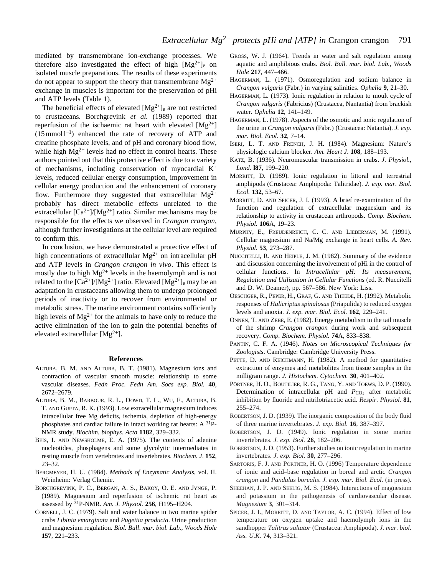mediated by transmembrane ion-exchange processes. We therefore also investigated the effect of high  $[Mg^{2+}]_e$  on isolated muscle preparations. The results of these experiments do not appear to support the theory that transmembrane  $Mg^{2+}$ exchange in muscles is important for the preservation of pHi and ATP levels (Table 1).

The beneficial effects of elevated  $[Mg^{2+}]_e$  are not restricted to crustaceans. Borchgrevink *et al.* (1989) reported that reperfusion of the ischaemic rat heart with elevated  $[Mg^{2+}]$ (15mmol l <sup>−</sup>1) enhanced the rate of recovery of ATP and creatine phosphate levels, and of pH and coronary blood flow, while high  $Mg^{2+}$  levels had no effect in control hearts. These authors pointed out that this protective effect is due to a variety of mechanisms, including conservation of myocardial K+ levels, reduced cellular energy consumption, improvement in cellular energy production and the enhancement of coronary flow. Furthermore they suggested that extracellular  $Mg^{2+}$ probably has direct metabolic effects unrelated to the extracellular  $\lceil Ca^{2+} \rceil / [Mg^{2+}]$  ratio. Similar mechanisms may be responsible for the effects we observed in *Crangon crangon*, although further investigations at the cellular level are required to confirm this.

In conclusion, we have demonstrated a protective effect of high concentrations of extracellular  $Mg^{2+}$  on intracellular pH and ATP levels in *Crangon crangon in vivo*. This effect is mostly due to high  $Mg^{2+}$  levels in the haemolymph and is not related to the  $[Ca^{2+}]/[Mg^{2+}]$  ratio. Elevated  $[Mg^{2+}]_e$  may be an adaptation in crustaceans allowing them to undergo prolonged periods of inactivity or to recover from environmental or metabolic stress. The marine environment contains sufficiently high levels of  $Mg^{2+}$  for the animals to have only to reduce the active elimination of the ion to gain the potential benefits of elevated extracellular  $[Mg^{2+}]$ .

### **References**

- ALTURA, B. M. AND ALTURA, B. T. (1981). Magnesium ions and contraction of vascular smooth muscle: relationship to some vascular diseases. *Fedn Proc. Fedn Am. Socs exp. Biol.* **40**, 2672–2679.
- ALTURA, B. M., BARBOUR, R. L., DOWD, T. L., WU, F., ALTURA, B. T. AND GUPTA, R. K. (1993). Low extracellular magnesium induces intracellular free Mg deficits, ischemia, depletion of high-energy phosphates and cardiac failure in intact working rat hearts: A 31P-NMR study. *Biochim. biophys. Acta* **1182**, 329–332.
- BEIS, I. AND NEWSHOLME, E. A. (1975). The contents of adenine nucleotides, phosphagens and some glycolytic intermediates in resting muscle from vertebrates and invertebrates. *Biochem. J*. **152**, 23–32.
- BERGMEYER, H. U. (1984). *Methods of Enzymatic Analysis*, vol. II. Weinheim: Verlag Chemie.
- BORCHGREVINK, P. C., BERGAN, A. S., BAKOY, O. E. AND JYNGE, P. (1989). Magnesium and reperfusion of ischemic rat heart as assessed by 31P-NMR. *Am. J. Physiol.* **256**, H195–H204.
- CORNELL, J. C. (1979). Salt and water balance in two marine spider crabs *Libinia emarginata* and *Pugettia producta*. Urine production and magnesium regulation. *Biol. Bull*. *mar. biol. Lab., Woods Hole* **157**, 221–233.
- GROSS, W. J. (1964). Trends in water and salt regulation among aquatic and amphibious crabs. *Biol. Bull. mar. biol. Lab., Woods Hole* **217**, 447–466.
- HAGERMAN, L. (1971). Osmoregulation and sodium balance in *Crangon vulgaris* (Fabr.) in varying salinities. *Ophelia* **9**, 21–30.
- HAGERMAN, L. (1973). Ionic regulation in relation to moult cycle of *Crangon vulgaris* (Fabricius) (Crustacea, Nantantia) from brackish water. *Ophelia* **12**, 141–149.
- HAGERMAN, L. (1978). Aspects of the osmotic and ionic regulation of the urine in *Crangon vulgaris* (Fabr.) (Crustacea: Natantia). *J. exp. mar. Biol. Ecol.* **32**, 7–14.
- ISERI, L. T. AND FRENCH, J. H. (1984). Magnesium: Nature's physiologic calcium blocker. *Am. Heart J*. **108**, 188–193.
- KATZ, B. (1936). Neuromuscular transmission in crabs. *J. Physiol., Lond.* **l87**, 199–220.
- MORRITT, D. (1989). Ionic regulation in littoral and terrestrial amphipods (Crustacea: Amphipoda: Talitridae). *J. exp. mar. Biol. Ecol.* **132**, 53–67.
- MORRITT, D. AND SPICER, J. I. (1993). A brief re-examination of the function and regulation of extracellular magnesium and its relationship to activity in crustacean arthropods. *Comp. Biochem. Physiol.* **106**A, 19–23.
- MURPHY, E., FREUDENREICH, C. C. AND LIEBERMAN, M. (1991). Cellular magnesium and Na/Mg exchange in heart cells. *A. Rev. Physiol.* **53**, 273–287.
- NUCCITELLI, R. AND HEIPLE, J. M. (1982). Summary of the evidence and discussion concerning the involvement of pHi in the control of cellular functions. In *Intracellular pH: Its measurement, Regulation and Utilization in Cellular Functions* (ed. R. Nuccitelli and D. W. Deamer), pp. 567–586. New York: Liss.
- OESCHGER, R., PEPER, H., GRAF, G. AND THEEDE, H. (1992). Metabolic responses of *Halicriptus spinulosus* (Priapulida) to reduced oxygen levels and anoxia. *J. exp. mar. Biol. Ecol.* **162**, 229–241.
- ONNEN, T. AND ZEBE, E. (1982). Energy metabolism in the tail muscle of the shrimp *Crangon crangon* during work and subsequent recovery. *Comp. Biochem. Physiol.* **74**A, 833–838.
- PANTIN, C. F. A. (1946). *Notes on Microscopical Techniques for Zoologists*. Cambridge: Cambridge University Press.
- PETTE, D. AND REICHMANN, H. (1982). A method for quantitative extraction of enzymes and metabolites from tissue samples in the milligram range. *J. Histochem. Cytochem.* **30**, 401–402.
- PÖRTNER, H. O., BOUTILIER, R. G., TANG, Y. AND TOEWS, D. P. (1990). Determination of intracellular pH and *P*<sub>CO2</sub> after metabolic inhibition by fluoride and nitrilotriacetic acid. *Respir. Physiol.* **81**, 255–274.
- ROBERTSON, J. D. (1939). The inorganic composition of the body fluid of three marine invertebrates. *J. exp. Biol.* **16**, 387–397.
- ROBERTSON, J. D. (1949). Ionic regulation in some marine invertebrates. *J. exp. Biol.* **26**, 182–206.
- ROBERTSON, J. D. (1953). Further studies on ionic regulation in marine invertebrates. *J. exp. Biol*. **30**, 277–296.
- SARTORIS, F. J. AND PÖRTNER, H. O. (1996) Temperature dependence of ionic and acid–base regulation in boreal and arctic *Crangon crangon* and *Pandalus borealis*. *J. exp. mar. Biol. Ecol.* (in press).
- SHEEHAN, J. P. AND SEELIG, M. S. (1984). Interactions of magnesium and potassium in the pathogenesis of cardiovascular disease. *Magnesium* **3**, 301–314.
- SPICER, J. I., MORRITT, D. AND TAYLOR, A. C. (1994). Effect of low temperature on oxygen uptake and haemolymph ions in the sandhopper *Talitrus saltator* (Crustacea: Amphipoda). *J. mar. biol. Ass. U.K.* **74**, 313–321.